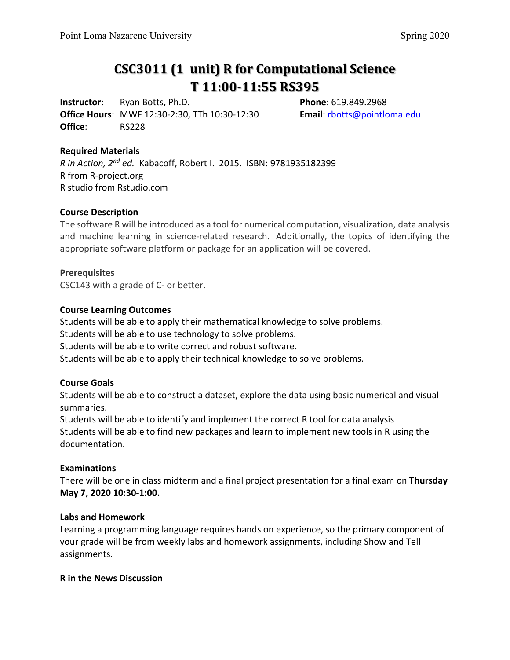# **CSC3011 (1 unit) R for Computational Science T 11:00-11:55 RS395**

**Instructor**: Ryan Botts, Ph.D. **Phone**: 619.849.2968 **Office Hours**: MWF 12:30-2:30, TTh 10:30-12:30 **Email**: [rbotts@pointloma.edu](mailto:rbotts@pointloma.edu) **Office**: RS228

#### **Required Materials**

*R in Action, 2nd ed.* Kabacoff, Robert I. 2015. ISBN: 9781935182399 R from R-project.org R studio from Rstudio.com

#### **Course Description**

The software R will be introduced as a tool for numerical computation, visualization, data analysis and machine learning in science-related research. Additionally, the topics of identifying the appropriate software platform or package for an application will be covered.

#### **Prerequisites**

CSC143 with a grade of C- or better.

#### **Course Learning Outcomes**

Students will be able to apply their mathematical knowledge to solve problems. Students will be able to use technology to solve problems. Students will be able to write correct and robust software. Students will be able to apply their technical knowledge to solve problems.

#### **Course Goals**

Students will be able to construct a dataset, explore the data using basic numerical and visual summaries.

Students will be able to identify and implement the correct R tool for data analysis Students will be able to find new packages and learn to implement new tools in R using the documentation.

#### **Examinations**

There will be one in class midterm and a final project presentation for a final exam on **Thursday May 7, 2020 10:30-1:00.**

#### **Labs and Homework**

Learning a programming language requires hands on experience, so the primary component of your grade will be from weekly labs and homework assignments, including Show and Tell assignments.

#### **R in the News Discussion**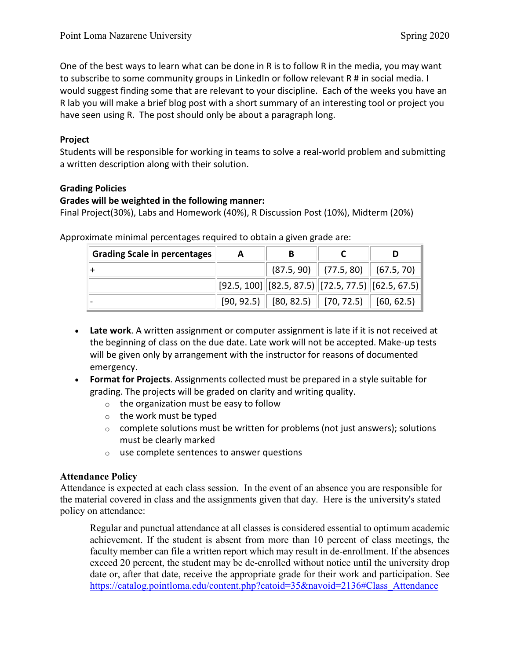One of the best ways to learn what can be done in R is to follow R in the media, you may want to subscribe to some community groups in LinkedIn or follow relevant R # in social media. I would suggest finding some that are relevant to your discipline. Each of the weeks you have an R lab you will make a brief blog post with a short summary of an interesting tool or project you have seen using R. The post should only be about a paragraph long.

## **Project**

Students will be responsible for working in teams to solve a real-world problem and submitting a written description along with their solution.

## **Grading Policies**

## **Grades will be weighted in the following manner:**

Final Project(30%), Labs and Homework (40%), R Discussion Post (10%), Midterm (20%)

| <b>Grading Scale in percentages</b> | А |                                                                                                                                                            |                                        |  |
|-------------------------------------|---|------------------------------------------------------------------------------------------------------------------------------------------------------------|----------------------------------------|--|
|                                     |   |                                                                                                                                                            | $(87.5, 90)$ $(77.5, 80)$ $(67.5, 70)$ |  |
|                                     |   | $\left\vert \left[ 92.5,100\right] \right\vert \left[ 82.5,87.5\right) \left\vert \left[ 72.5,77.5\right) \right\vert \left[ 62.5,67.5\right) \right\vert$ |                                        |  |
|                                     |   | $[90, 92.5)$ $[80, 82.5)$ $[70, 72.5)$ $[60, 62.5)$                                                                                                        |                                        |  |

Approximate minimal percentages required to obtain a given grade are:

- **Late work**. A written assignment or computer assignment is late if it is not received at the beginning of class on the due date. Late work will not be accepted. Make-up tests will be given only by arrangement with the instructor for reasons of documented emergency.
- **Format for Projects**. Assignments collected must be prepared in a style suitable for grading. The projects will be graded on clarity and writing quality.
	- $\circ$  the organization must be easy to follow
	- o the work must be typed
	- $\circ$  complete solutions must be written for problems (not just answers); solutions must be clearly marked
	- o use complete sentences to answer questions

## **Attendance Policy**

Attendance is expected at each class session. In the event of an absence you are responsible for the material covered in class and the assignments given that day. Here is the university's stated policy on attendance:

Regular and punctual attendance at all classes is considered essential to optimum academic achievement. If the student is absent from more than 10 percent of class meetings, the faculty member can file a written report which may result in de-enrollment. If the absences exceed 20 percent, the student may be de-enrolled without notice until the university drop date or, after that date, receive the appropriate grade for their work and participation. See [https://catalog.pointloma.edu/content.php?catoid=35&navoid=2136#Class\\_Attendance](https://catalog.pointloma.edu/content.php?catoid=35&navoid=2136#Class_Attendance)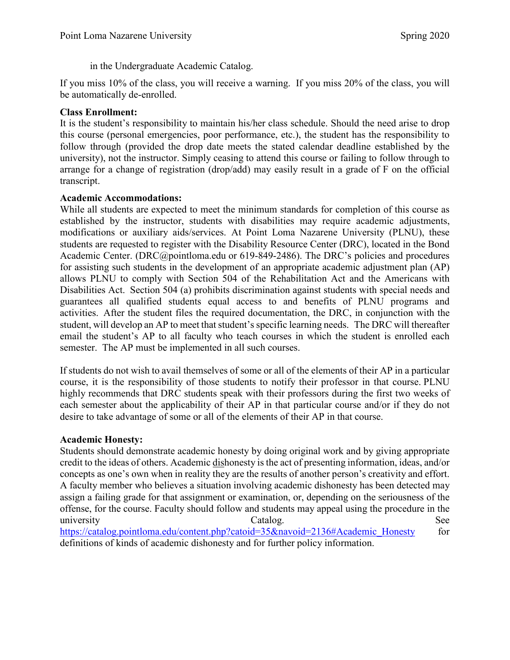## in the Undergraduate Academic Catalog.

If you miss 10% of the class, you will receive a warning. If you miss 20% of the class, you will be automatically de-enrolled.

## **Class Enrollment:**

It is the student's responsibility to maintain his/her class schedule. Should the need arise to drop this course (personal emergencies, poor performance, etc.), the student has the responsibility to follow through (provided the drop date meets the stated calendar deadline established by the university), not the instructor. Simply ceasing to attend this course or failing to follow through to arrange for a change of registration (drop/add) may easily result in a grade of F on the official transcript.

#### **Academic Accommodations:**

While all students are expected to meet the minimum standards for completion of this course as established by the instructor, students with disabilities may require academic adjustments, modifications or auxiliary aids/services. At Point Loma Nazarene University (PLNU), these students are requested to register with the Disability Resource Center (DRC), located in the Bond Academic Center. [\(DRC@pointloma.edu](mailto:DRC@pointloma.edu) or 619-849-2486). The DRC's policies and procedures for assisting such students in the development of an appropriate academic adjustment plan (AP) allows PLNU to comply with Section 504 of the Rehabilitation Act and the Americans with Disabilities Act. Section 504 (a) prohibits discrimination against students with special needs and guarantees all qualified students equal access to and benefits of PLNU programs and activities. After the student files the required documentation, the DRC, in conjunction with the student, will develop an AP to meet that student's specific learning needs. The DRC will thereafter email the student's AP to all faculty who teach courses in which the student is enrolled each semester. The AP must be implemented in all such courses.

If students do not wish to avail themselves of some or all of the elements of their AP in a particular course, it is the responsibility of those students to notify their professor in that course. PLNU highly recommends that DRC students speak with their professors during the first two weeks of each semester about the applicability of their AP in that particular course and/or if they do not desire to take advantage of some or all of the elements of their AP in that course.

#### **Academic Honesty:**

Students should demonstrate academic honesty by doing original work and by giving appropriate credit to the ideas of others. Academic dishonesty is the act of presenting information, ideas, and/or concepts as one's own when in reality they are the results of another person's creativity and effort. A faculty member who believes a situation involving academic dishonesty has been detected may assign a failing grade for that assignment or examination, or, depending on the seriousness of the offense, for the course. Faculty should follow and students may appeal using the procedure in the university See Catalog. [https://catalog.pointloma.edu/content.php?catoid=35&navoid=2136#Academic\\_Honesty](https://catalog.pointloma.edu/content.php?catoid=35&navoid=2136#Academic_Honesty) for definitions of kinds of academic dishonesty and for further policy information.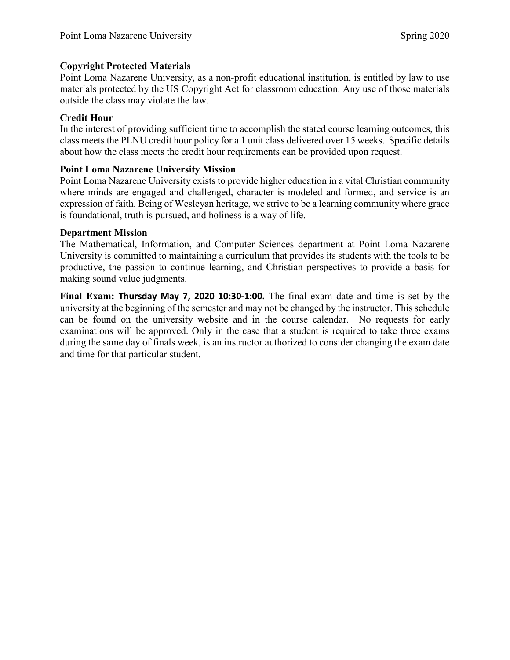## **Copyright Protected Materials**

Point Loma Nazarene University, as a non-profit educational institution, is entitled by law to use materials protected by the US Copyright Act for classroom education. Any use of those materials outside the class may violate the law.

## **Credit Hour**

In the interest of providing sufficient time to accomplish the stated course learning outcomes, this class meets the PLNU credit hour policy for a 1 unit class delivered over 15 weeks. Specific details about how the class meets the credit hour requirements can be provided upon request.

## **Point Loma Nazarene University Mission**

Point Loma Nazarene University exists to provide higher education in a vital Christian community where minds are engaged and challenged, character is modeled and formed, and service is an expression of faith. Being of Wesleyan heritage, we strive to be a learning community where grace is foundational, truth is pursued, and holiness is a way of life.

#### **Department Mission**

The Mathematical, Information, and Computer Sciences department at Point Loma Nazarene University is committed to maintaining a curriculum that provides its students with the tools to be productive, the passion to continue learning, and Christian perspectives to provide a basis for making sound value judgments.

**Final Exam: Thursday May 7, 2020 10:30-1:00.** The final exam date and time is set by the university at the beginning of the semester and may not be changed by the instructor. This schedule can be found on the university website and in the course calendar. No requests for early examinations will be approved. Only in the case that a student is required to take three exams during the same day of finals week, is an instructor authorized to consider changing the exam date and time for that particular student.